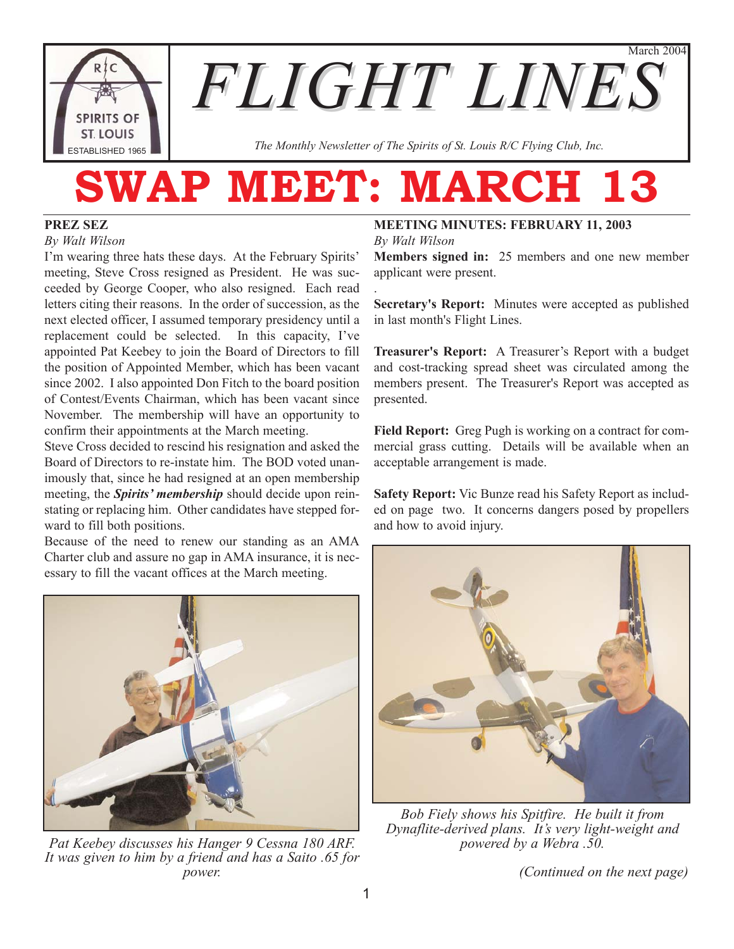March 2004



*FLIGHT LINES*

*The Monthly Newsletter of The Spirits of St. Louis R/C Flying Club, Inc.*

# **SWAP MEET: MARCH 13**

.

#### **PREZ SEZ**

#### *By Walt Wilson*

I'm wearing three hats these days. At the February Spirits' meeting, Steve Cross resigned as President. He was succeeded by George Cooper, who also resigned. Each read letters citing their reasons. In the order of succession, as the next elected officer, I assumed temporary presidency until a replacement could be selected. In this capacity, I've appointed Pat Keebey to join the Board of Directors to fill the position of Appointed Member, which has been vacant since 2002. I also appointed Don Fitch to the board position of Contest/Events Chairman, which has been vacant since November. The membership will have an opportunity to confirm their appointments at the March meeting.

Steve Cross decided to rescind his resignation and asked the Board of Directors to re-instate him. The BOD voted unanimously that, since he had resigned at an open membership meeting, the *Spirits' membership* should decide upon reinstating or replacing him. Other candidates have stepped forward to fill both positions.

Because of the need to renew our standing as an AMA Charter club and assure no gap in AMA insurance, it is necessary to fill the vacant offices at the March meeting.



*Pat Keebey discusses his Hanger 9 Cessna 180 ARF. It was given to him by a friend and has a Saito .65 for power.* 

#### **MEETING MINUTES: FEBRUARY 11, 2003** *By Walt Wilson*

**Members signed in:** 25 members and one new member applicant were present.

**Secretary's Report:** Minutes were accepted as published in last month's Flight Lines.

**Treasurer's Report:** A Treasurer's Report with a budget and cost-tracking spread sheet was circulated among the members present. The Treasurer's Report was accepted as presented.

**Field Report:** Greg Pugh is working on a contract for commercial grass cutting. Details will be available when an acceptable arrangement is made.

**Safety Report:** Vic Bunze read his Safety Report as included on page two. It concerns dangers posed by propellers and how to avoid injury.



*Bob Fiely shows his Spitfire. He built it from Dynaflite-derived plans. It's very light-weight and powered by a Webra .50.*

*(Continued on the next page)*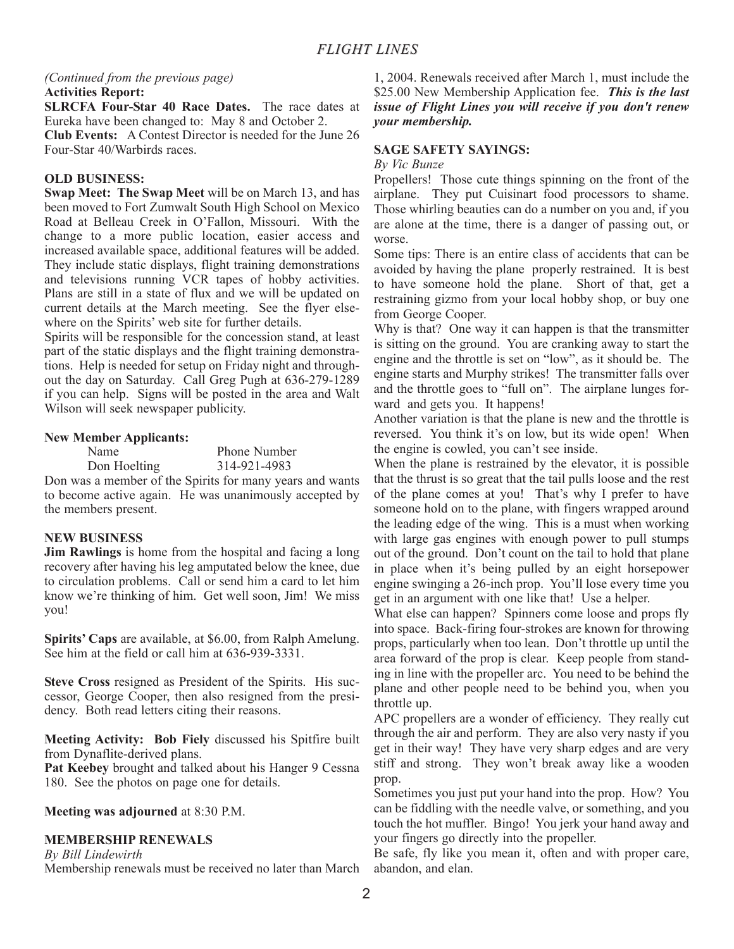#### *(Continued from the previous page)* **Activities Report:**

**SLRCFA Four-Star 40 Race Dates.** The race dates at Eureka have been changed to: May 8 and October 2.

**Club Events:** A Contest Director is needed for the June 26 Four-Star 40/Warbirds races.

#### **OLD BUSINESS:**

**Swap Meet: The Swap Meet** will be on March 13, and has been moved to Fort Zumwalt South High School on Mexico Road at Belleau Creek in O'Fallon, Missouri. With the change to a more public location, easier access and increased available space, additional features will be added. They include static displays, flight training demonstrations and televisions running VCR tapes of hobby activities. Plans are still in a state of flux and we will be updated on current details at the March meeting. See the flyer elsewhere on the Spirits' web site for further details.

Spirits will be responsible for the concession stand, at least part of the static displays and the flight training demonstrations. Help is needed for setup on Friday night and throughout the day on Saturday. Call Greg Pugh at 636-279-1289 if you can help. Signs will be posted in the area and Walt Wilson will seek newspaper publicity.

#### **New Member Applicants:**

Name Phone Number Don Hoelting 314-921-4983

Don was a member of the Spirits for many years and wants to become active again. He was unanimously accepted by the members present.

#### **NEW BUSINESS**

**Jim Rawlings** is home from the hospital and facing a long recovery after having his leg amputated below the knee, due to circulation problems. Call or send him a card to let him know we're thinking of him. Get well soon, Jim! We miss you!

**Spirits' Caps** are available, at \$6.00, from Ralph Amelung. See him at the field or call him at 636-939-3331.

**Steve Cross** resigned as President of the Spirits. His successor, George Cooper, then also resigned from the presidency. Both read letters citing their reasons.

**Meeting Activity: Bob Fiely** discussed his Spitfire built from Dynaflite-derived plans.

Pat Keebey brought and talked about his Hanger 9 Cessna 180. See the photos on page one for details.

#### **Meeting was adjourned** at 8:30 P.M.

#### **MEMBERSHIP RENEWALS**

*By Bill Lindewirth*

Membership renewals must be received no later than March

1, 2004. Renewals received after March 1, must include the \$25.00 New Membership Application fee. *This is the last issue of Flight Lines you will receive if you don't renew your membership.*

#### **SAGE SAFETY SAYINGS:**

*By Vic Bunze*

Propellers! Those cute things spinning on the front of the airplane. They put Cuisinart food processors to shame. Those whirling beauties can do a number on you and, if you are alone at the time, there is a danger of passing out, or worse.

Some tips: There is an entire class of accidents that can be avoided by having the plane properly restrained. It is best to have someone hold the plane. Short of that, get a restraining gizmo from your local hobby shop, or buy one from George Cooper.

Why is that? One way it can happen is that the transmitter is sitting on the ground. You are cranking away to start the engine and the throttle is set on "low", as it should be. The engine starts and Murphy strikes! The transmitter falls over and the throttle goes to "full on". The airplane lunges forward and gets you. It happens!

Another variation is that the plane is new and the throttle is reversed. You think it's on low, but its wide open! When the engine is cowled, you can't see inside.

When the plane is restrained by the elevator, it is possible that the thrust is so great that the tail pulls loose and the rest of the plane comes at you! That's why I prefer to have someone hold on to the plane, with fingers wrapped around the leading edge of the wing. This is a must when working with large gas engines with enough power to pull stumps out of the ground. Don't count on the tail to hold that plane in place when it's being pulled by an eight horsepower engine swinging a 26-inch prop. You'll lose every time you get in an argument with one like that! Use a helper.

What else can happen? Spinners come loose and props fly into space. Back-firing four-strokes are known for throwing props, particularly when too lean. Don't throttle up until the area forward of the prop is clear. Keep people from standing in line with the propeller arc. You need to be behind the plane and other people need to be behind you, when you throttle up.

APC propellers are a wonder of efficiency. They really cut through the air and perform. They are also very nasty if you get in their way! They have very sharp edges and are very stiff and strong. They won't break away like a wooden prop.

Sometimes you just put your hand into the prop. How? You can be fiddling with the needle valve, or something, and you touch the hot muffler. Bingo! You jerk your hand away and your fingers go directly into the propeller.

Be safe, fly like you mean it, often and with proper care, abandon, and elan.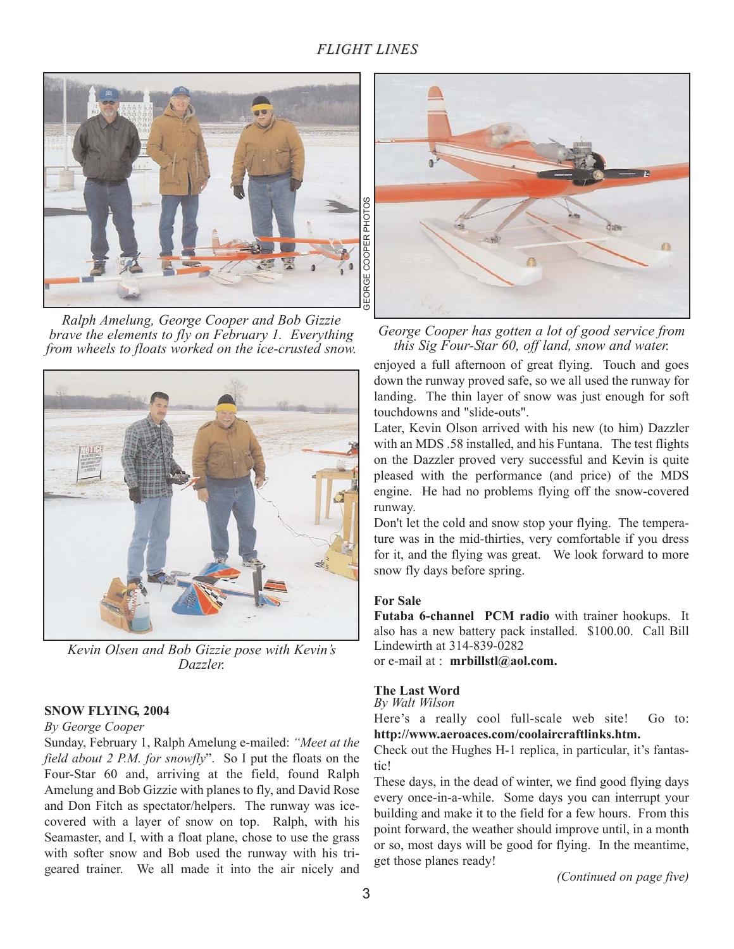### *FLIGHT LINES*



*Ralph Amelung, George Cooper and Bob Gizzie brave the elements to fly on February 1. Everything from wheels to floats worked on the ice-crusted snow.*



*Kevin Olsen and Bob Gizzie pose with Kevin's Dazzler.*

#### **SNOW FLYING, 2004**

#### *By George Cooper*

Sunday, February 1, Ralph Amelung e-mailed: *"Meet at the field about 2 P.M. for snowfly*". So I put the floats on the Four-Star 60 and, arriving at the field, found Ralph Amelung and Bob Gizzie with planes to fly, and David Rose and Don Fitch as spectator/helpers. The runway was icecovered with a layer of snow on top. Ralph, with his Seamaster, and I, with a float plane, chose to use the grass with softer snow and Bob used the runway with his trigeared trainer. We all made it into the air nicely and



*George Cooper has gotten a lot of good service from this Sig Four-Star 60, off land, snow and water.*

enjoyed a full afternoon of great flying. Touch and goes down the runway proved safe, so we all used the runway for landing. The thin layer of snow was just enough for soft touchdowns and "slide-outs".

Later, Kevin Olson arrived with his new (to him) Dazzler with an MDS .58 installed, and his Funtana. The test flights on the Dazzler proved very successful and Kevin is quite pleased with the performance (and price) of the MDS engine. He had no problems flying off the snow-covered runway.

Don't let the cold and snow stop your flying. The temperature was in the mid-thirties, very comfortable if you dress for it, and the flying was great. We look forward to more snow fly days before spring.

#### **For Sale**

**Futaba 6-channel PCM radio** with trainer hookups. It also has a new battery pack installed. \$100.00. Call Bill Lindewirth at 314-839-0282 or e-mail at : **mrbillstl@aol.com.**

#### **The Last Word**

*By Walt Wilson*

Here's a really cool full-scale web site! Go to: **http://www.aeroaces.com/coolaircraftlinks.htm.**

Check out the Hughes H-1 replica, in particular, it's fantastic!

These days, in the dead of winter, we find good flying days every once-in-a-while. Some days you can interrupt your building and make it to the field for a few hours. From this point forward, the weather should improve until, in a month or so, most days will be good for flying. In the meantime, get those planes ready!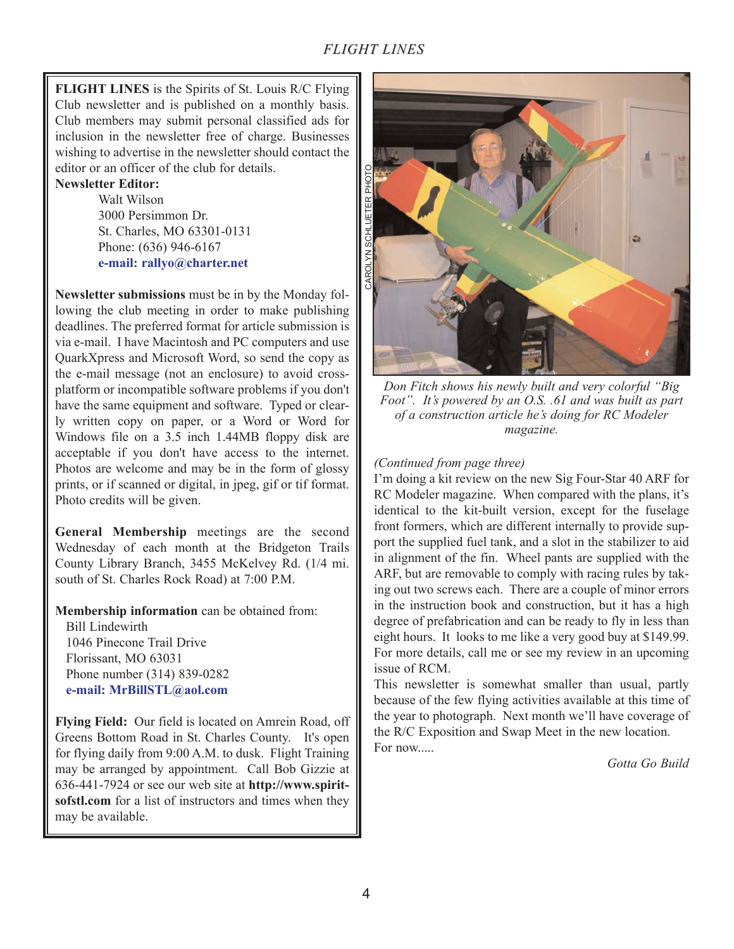## *FLIGHT LINES*

**FLIGHT LINES** is the Spirits of St. Louis R/C Flying Club newsletter and is published on a monthly basis. Club members may submit personal classified ads for inclusion in the newsletter free of charge. Businesses wishing to advertise in the newsletter should contact the editor or an officer of the club for details.

#### **Newsletter Editor:**

Walt Wilson 3000 Persimmon Dr. St. Charles, MO 63301-0131 Phone: (636) 946-6167 **e-mail: rallyo@charter.net**

**Newsletter submissions** must be in by the Monday following the club meeting in order to make publishing deadlines. The preferred format for article submission is via e-mail. I have Macintosh and PC computers and use QuarkXpress and Microsoft Word, so send the copy as the e-mail message (not an enclosure) to avoid crossplatform or incompatible software problems if you don't have the same equipment and software. Typed or clearly written copy on paper, or a Word or Word for Windows file on a 3.5 inch 1.44MB floppy disk are acceptable if you don't have access to the internet. Photos are welcome and may be in the form of glossy prints, or if scanned or digital, in jpeg, gif or tif format. Photo credits will be given.

**General Membership** meetings are the second Wednesday of each month at the Bridgeton Trails County Library Branch, 3455 McKelvey Rd. (1/4 mi. south of St. Charles Rock Road) at 7:00 P.M.

**Membership information** can be obtained from:

Bill Lindewirth 1046 Pinecone Trail Drive Florissant, MO 63031 Phone number (314) 839-0282 **e-mail: MrBillSTL@aol.com**

**Flying Field:** Our field is located on Amrein Road, off Greens Bottom Road in St. Charles County. It's open for flying daily from 9:00 A.M. to dusk. Flight Training may be arranged by appointment. Call Bob Gizzie at 636-441-7924 or see our web site at **http://www.spiritsofstl.com** for a list of instructors and times when they may be available.



*Don Fitch shows his newly built and very colorful "Big Foot". It's powered by an O.S. .61 and was built as part of a construction article he's doing for RC Modeler magazine.*

#### *(Continued from page three)*

I'm doing a kit review on the new Sig Four-Star 40 ARF for RC Modeler magazine. When compared with the plans, it's identical to the kit-built version, except for the fuselage front formers, which are different internally to provide support the supplied fuel tank, and a slot in the stabilizer to aid in alignment of the fin. Wheel pants are supplied with the ARF, but are removable to comply with racing rules by taking out two screws each. There are a couple of minor errors in the instruction book and construction, but it has a high degree of prefabrication and can be ready to fly in less than eight hours. It looks to me like a very good buy at \$149.99. For more details, call me or see my review in an upcoming issue of RCM.

This newsletter is somewhat smaller than usual, partly because of the few flying activities available at this time of the year to photograph. Next month we'll have coverage of the R/C Exposition and Swap Meet in the new location. For now.....

*Gotta Go Build*